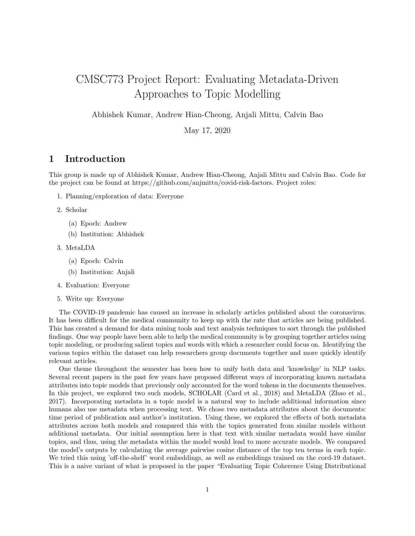# CMSC773 Project Report: Evaluating Metadata-Driven Approaches to Topic Modelling

Abhishek Kumar, Andrew Hian-Cheong, Anjali Mittu, Calvin Bao

May 17, 2020

## 1 Introduction

This group is made up of Abhishek Kumar, Andrew Hian-Cheong, Anjali Mittu and Calvin Bao. Code for the project can be found at https://github.com/anjmittu/covid-risk-factors. Project roles:

- 1. Planning/exploration of data: Everyone
- 2. Scholar
	- (a) Epoch: Andrew
	- (b) Institution: Abhishek
- 3. MetaLDA
	- (a) Epoch: Calvin
	- (b) Institution: Anjali
- 4. Evaluation: Everyone
- 5. Write up: Everyone

The COVID-19 pandemic has caused an increase in scholarly articles published about the coronavirus. It has been difficult for the medical community to keep up with the rate that articles are being published. This has created a demand for data mining tools and text analysis techniques to sort through the published findings. One way people have been able to help the medical community is by grouping together articles using topic modeling, or producing salient topics and words with which a researcher could focus on. Identifying the various topics within the dataset can help researchers group documents together and more quickly identify relevant articles.

One theme throughout the semester has been how to unify both data and 'knowledge' in NLP tasks. Several recent papers in the past few years have proposed different ways of incorporating known metadata attributes into topic models that previously only accounted for the word tokens in the documents themselves. In this project, we explored two such models, SCHOLAR (Card et al., 2018) and MetaLDA (Zhao et al., 2017). Incorporating metadata in a topic model is a natural way to include additional information since humans also use metadata when processing text. We chose two metadata attributes about the documents: time period of publication and author's institution. Using these, we explored the effects of both metadata attributes across both models and compared this with the topics generated from similar models without additional metadata. Our initial assumption here is that text with similar metadata would have similar topics, and thus, using the metadata within the model would lead to more accurate models. We compared the model's outputs by calculating the average pairwise cosine distance of the top ten terms in each topic. We tried this using 'off-the-shelf' word embeddings, as well as embeddings trained on the cord-19 dataset. This is a naive variant of what is proposed in the paper "Evaluating Topic Coherence Using Distributional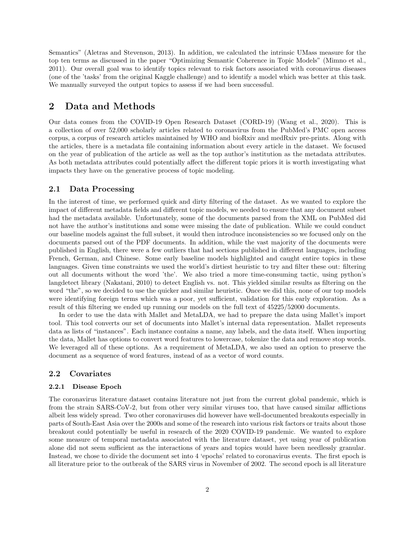Semantics" (Aletras and Stevenson, 2013). In addition, we calculated the intrinsic UMass measure for the top ten terms as discussed in the paper "Optimizing Semantic Coherence in Topic Models" (Mimno et al., 2011). Our overall goal was to identify topics relevant to risk factors associated with coronavirus diseases (one of the 'tasks' from the original Kaggle challenge) and to identify a model which was better at this task. We manually surveyed the output topics to assess if we had been successful.

### 2 Data and Methods

Our data comes from the COVID-19 Open Research Dataset (CORD-19) (Wang et al., 2020). This is a collection of over 52,000 scholarly articles related to coronavirus from the PubMed's PMC open access corpus, a corpus of research articles maintained by WHO and bioRxiv and medRxiv pre-prints. Along with the articles, there is a metadata file containing information about every article in the dataset. We focused on the year of publication of the article as well as the top author's institution as the metadata attributes. As both metadata attributes could potentially affect the different topic priors it is worth investigating what impacts they have on the generative process of topic modeling.

#### 2.1 Data Processing

In the interest of time, we performed quick and dirty filtering of the dataset. As we wanted to explore the impact of different metadata fields and different topic models, we needed to ensure that any document subset had the metadata available. Unfortunately, some of the documents parsed from the XML on PubMed did not have the author's institutions and some were missing the date of publication. While we could conduct our baseline models against the full subset, it would then introduce inconsistencies so we focused only on the documents parsed out of the PDF documents. In addition, while the vast majority of the documents were published in English, there were a few outliers that had sections published in different languages, including French, German, and Chinese. Some early baseline models highlighted and caught entire topics in these languages. Given time constraints we used the world's dirtiest heuristic to try and filter these out: filtering out all documents without the word 'the'. We also tried a more time-consuming tactic, using python's langdetect library (Nakatani, 2010) to detect English vs. not. This yielded similar results as filtering on the word "the", so we decided to use the quicker and similar heuristic. Once we did this, none of our top models were identifying foreign terms which was a poor, yet sufficient, validation for this early exploration. As a result of this filtering we ended up running our models on the full text of 45225/52000 documents.

In order to use the data with Mallet and MetaLDA, we had to prepare the data using Mallet's import tool. This tool converts our set of documents into Mallet's internal data representation. Mallet represents data as lists of "instances". Each instance contains a name, any labels, and the data itself. When importing the data, Mallet has options to convert word features to lowercase, tokenize the data and remove stop words. We leveraged all of these options. As a requirement of MetaLDA, we also used an option to preserve the document as a sequence of word features, instead of as a vector of word counts.

#### 2.2 Covariates

#### 2.2.1 Disease Epoch

The coronavirus literature dataset contains literature not just from the current global pandemic, which is from the strain SARS-CoV-2, but from other very similar viruses too, that have caused similar afflictions albeit less widely spread. Two other coronaviruses did however have well-documented breakouts especially in parts of South-East Asia over the 2000s and some of the research into various risk factors or traits about those breakout could potentially be useful in research of the 2020 COVID-19 pandemic. We wanted to explore some measure of temporal metadata associated with the literature dataset, yet using year of publication alone did not seem sufficient as the interactions of years and topics would have been needlessly granular. Instead, we chose to divide the document set into 4 'epochs' related to coronavirus events. The first epoch is all literature prior to the outbreak of the SARS virus in November of 2002. The second epoch is all literature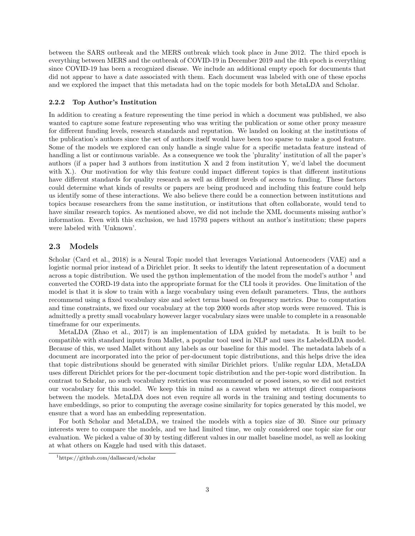between the SARS outbreak and the MERS outbreak which took place in June 2012. The third epoch is everything between MERS and the outbreak of COVID-19 in December 2019 and the 4th epoch is everything since COVID-19 has been a recognized disease. We include an additional empty epoch for documents that did not appear to have a date associated with them. Each document was labeled with one of these epochs and we explored the impact that this metadata had on the topic models for both MetaLDA and Scholar.

#### 2.2.2 Top Author's Institution

In addition to creating a feature representing the time period in which a document was published, we also wanted to capture some feature representing who was writing the publication or some other proxy measure for different funding levels, research standards and reputation. We landed on looking at the institutions of the publication's authors since the set of authors itself would have been too sparse to make a good feature. Some of the models we explored can only handle a single value for a specific metadata feature instead of handling a list or continuous variable. As a consequence we took the 'plurality' institution of all the paper's authors (if a paper had 3 authors from institution X and 2 from institution Y, we'd label the document with X.). Our motivation for why this feature could impact different topics is that different institutions have different standards for quality research as well as different levels of access to funding. These factors could determine what kinds of results or papers are being produced and including this feature could help us identify some of these interactions. We also believe there could be a connection between institutions and topics because researchers from the same institution, or institutions that often collaborate, would tend to have similar research topics. As mentioned above, we did not include the XML documents missing author's information. Even with this exclusion, we had 15793 papers without an author's institution; these papers were labeled with 'Unknown'.

### 2.3 Models

Scholar (Card et al., 2018) is a Neural Topic model that leverages Variational Autoencoders (VAE) and a logistic normal prior instead of a Dirichlet prior. It seeks to identify the latent representation of a document across a topic distribution. We used the python implementation of the model from the model's author  $1$  and converted the CORD-19 data into the appropriate format for the CLI tools it provides. One limitation of the model is that it is slow to train with a large vocabulary using even default parameters. Thus, the authors recommend using a fixed vocabulary size and select terms based on frequency metrics. Due to computation and time constraints, we fixed our vocabulary at the top 2000 words after stop words were removed. This is admittedly a pretty small vocabulary however larger vocabulary sizes were unable to complete in a reasonable timeframe for our experiments.

MetaLDA (Zhao et al., 2017) is an implementation of LDA guided by metadata. It is built to be compatible with standard inputs from Mallet, a popular tool used in NLP and uses its LabeledLDA model. Because of this, we used Mallet without any labels as our baseline for this model. The metadata labels of a document are incorporated into the prior of per-document topic distributions, and this helps drive the idea that topic distributions should be generated with similar Dirichlet priors. Unlike regular LDA, MetaLDA uses different Dirichlet priors for the per-document topic distribution and the per-topic word distribution. In contrast to Scholar, no such vocabulary restriction was recommended or posed issues, so we did not restrict our vocabulary for this model. We keep this in mind as a caveat when we attempt direct comparisons between the models. MetaLDA does not even require all words in the training and testing documents to have embeddings, so prior to computing the average cosine similarity for topics generated by this model, we ensure that a word has an embedding representation.

For both Scholar and MetaLDA, we trained the models with a topics size of 30. Since our primary interests were to compare the models, and we had limited time, we only considered one topic size for our evaluation. We picked a value of 30 by testing different values in our mallet baseline model, as well as looking at what others on Kaggle had used with this dataset.

<sup>1</sup>https://github.com/dallascard/scholar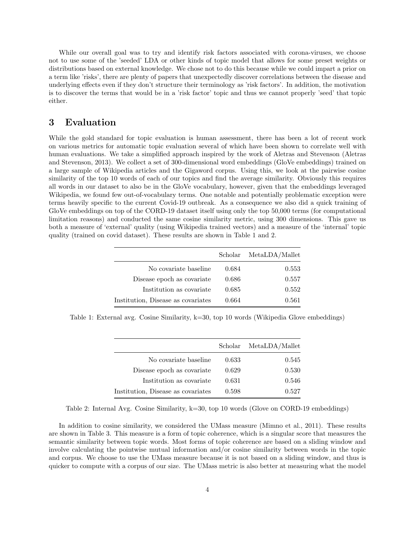While our overall goal was to try and identify risk factors associated with corona-viruses, we choose not to use some of the 'seeded' LDA or other kinds of topic model that allows for some preset weights or distributions based on external knowledge. We chose not to do this because while we could impart a prior on a term like 'risks', there are plenty of papers that unexpectedly discover correlations between the disease and underlying effects even if they don't structure their terminology as 'risk factors'. In addition, the motivation is to discover the terms that would be in a 'risk factor' topic and thus we cannot properly 'seed' that topic either.

## 3 Evaluation

While the gold standard for topic evaluation is human assessment, there has been a lot of recent work on various metrics for automatic topic evaluation several of which have been shown to correlate well with human evaluations. We take a simplified approach inspired by the work of Aletras and Stevenson (Aletras and Stevenson, 2013). We collect a set of 300-dimensional word embeddings (GloVe embeddings) trained on a large sample of Wikipedia articles and the Gigaword corpus. Using this, we look at the pairwise cosine similarity of the top 10 words of each of our topics and find the average similarity. Obviously this requires all words in our dataset to also be in the GloVe vocabulary, however, given that the embeddings leveraged Wikipedia, we found few out-of-vocabulary terms. One notable and potentially problematic exception were terms heavily specific to the current Covid-19 outbreak. As a consequence we also did a quick training of GloVe embeddings on top of the CORD-19 dataset itself using only the top 50,000 terms (for computational limitation reasons) and conducted the same cosine similarity metric, using 300 dimensions. This gave us both a measure of 'external' quality (using Wikipedia trained vectors) and a measure of the 'internal' topic quality (trained on covid dataset). These results are shown in Table 1 and 2.

|                                    |       | Scholar MetaLDA/Mallet |
|------------------------------------|-------|------------------------|
| No covariate baseline              | 0.684 | 0.553                  |
| Disease epoch as covariate         | 0.686 | 0.557                  |
| Institution as covariate           | 0.685 | 0.552                  |
| Institution, Disease as covariates | 0.664 | 0.561                  |

Table 1: External avg. Cosine Similarity, k=30, top 10 words (Wikipedia Glove embeddings)

| Scholar MetaLDA/Mallet |
|------------------------|
|                        |
| 0.545                  |
| 0.530                  |
| 0.546                  |
| 0.527                  |
|                        |

Table 2: Internal Avg. Cosine Similarity, k=30, top 10 words (Glove on CORD-19 embeddings)

In addition to cosine similarity, we considered the UMass measure (Mimno et al., 2011). These results are shown in Table 3. This measure is a form of topic coherence, which is a singular score that measures the semantic similarity between topic words. Most forms of topic coherence are based on a sliding window and involve calculating the pointwise mutual information and/or cosine similarity between words in the topic and corpus. We choose to use the UMass measure because it is not based on a sliding window, and thus is quicker to compute with a corpus of our size. The UMass metric is also better at measuring what the model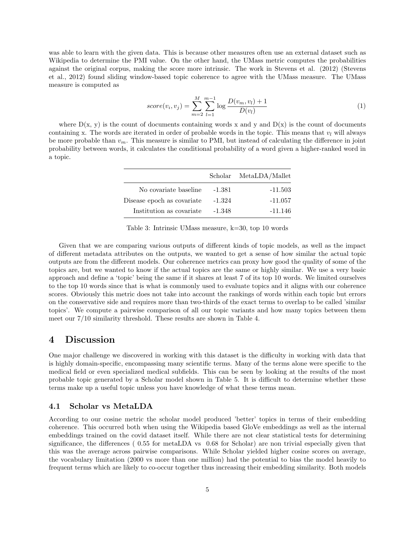was able to learn with the given data. This is because other measures often use an external dataset such as Wikipedia to determine the PMI value. On the other hand, the UMass metric computes the probabilities against the original corpus, making the score more intrinsic. The work in Stevens et al. (2012) (Stevens et al., 2012) found sliding window-based topic coherence to agree with the UMass measure. The UMass measure is computed as

$$
score(v_i, v_j) = \sum_{m=2}^{M} \sum_{l=1}^{m-1} \log \frac{D(v_m, v_l) + 1}{D(v_l)}
$$
(1)

where  $D(x, y)$  is the count of documents containing words x and y and  $D(x)$  is the count of documents containing x. The words are iterated in order of probable words in the topic. This means that  $v_l$  will always be more probable than  $v_m$ . This measure is similar to PMI, but instead of calculating the difference in joint probability between words, it calculates the conditional probability of a word given a higher-ranked word in a topic.

|          | Scholar MetaLDA/Mallet |
|----------|------------------------|
| -1.381   | $-11.503$              |
| $-1.324$ | $-11.057$              |
| -1.348   | -11.146                |
|          |                        |

Table 3: Intrinsic UMass measure, k=30, top 10 words

Given that we are comparing various outputs of different kinds of topic models, as well as the impact of different metadata attributes on the outputs, we wanted to get a sense of how similar the actual topic outputs are from the different models. Our coherence metrics can proxy how good the quality of some of the topics are, but we wanted to know if the actual topics are the same or highly similar. We use a very basic approach and define a 'topic' being the same if it shares at least 7 of its top 10 words. We limited ourselves to the top 10 words since that is what is commonly used to evaluate topics and it aligns with our coherence scores. Obviously this metric does not take into account the rankings of words within each topic but errors on the conservative side and requires more than two-thirds of the exact terms to overlap to be called 'similar topics'. We compute a pairwise comparison of all our topic variants and how many topics between them meet our 7/10 similarity threshold. These results are shown in Table 4.

### 4 Discussion

One major challenge we discovered in working with this dataset is the difficulty in working with data that is highly domain-specific, encompassing many scientific terms. Many of the terms alone were specific to the medical field or even specialized medical subfields. This can be seen by looking at the results of the most probable topic generated by a Scholar model shown in Table 5. It is difficult to determine whether these terms make up a useful topic unless you have knowledge of what these terms mean.

#### 4.1 Scholar vs MetaLDA

According to our cosine metric the scholar model produced 'better' topics in terms of their embedding coherence. This occurred both when using the Wikipedia based GloVe embeddings as well as the internal embeddings trained on the covid dataset itself. While there are not clear statistical tests for determining significance, the differences ( 0.55 for metaLDA vs 0.68 for Scholar) are non trivial especially given that this was the average across pairwise comparisons. While Scholar yielded higher cosine scores on average, the vocabulary limitation (2000 vs more than one million) had the potential to bias the model heavily to frequent terms which are likely to co-occur together thus increasing their embedding similarity. Both models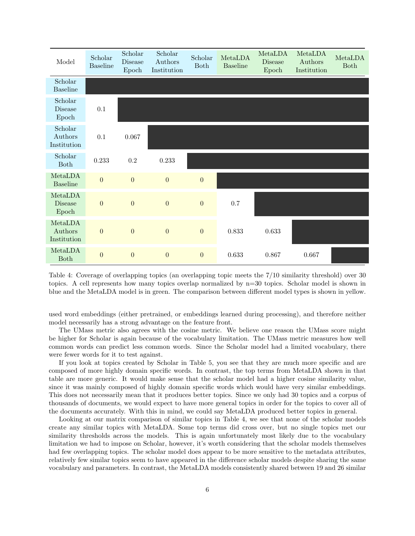| Model                              | Scholar<br><b>Baseline</b> | Scholar<br>Disease<br>Epoch | Scholar<br>Authors<br>Institution | Scholar<br><b>Both</b> | MetaLDA<br><b>Baseline</b> | MetaLDA<br><b>Disease</b><br>Epoch | MetaLDA<br>Authors<br>Institution | MetaLDA<br><b>Both</b> |
|------------------------------------|----------------------------|-----------------------------|-----------------------------------|------------------------|----------------------------|------------------------------------|-----------------------------------|------------------------|
| Scholar<br><b>Baseline</b>         |                            |                             |                                   |                        |                            |                                    |                                   |                        |
| Scholar<br><b>Disease</b><br>Epoch | 0.1                        |                             |                                   |                        |                            |                                    |                                   |                        |
| Scholar<br>Authors<br>Institution  | 0.1                        | 0.067                       |                                   |                        |                            |                                    |                                   |                        |
| Scholar<br>Both                    | 0.233                      | $\rm 0.2$                   | 0.233                             |                        |                            |                                    |                                   |                        |
| MetaLDA<br><b>Baseline</b>         | $\overline{0}$             | $\overline{0}$              | $\overline{0}$                    | $\boldsymbol{0}$       |                            |                                    |                                   |                        |
| MetaLDA<br><b>Disease</b><br>Epoch | $\overline{0}$             | $\boldsymbol{0}$            | $\overline{0}$                    | $\boldsymbol{0}$       | 0.7                        |                                    |                                   |                        |
| MetaLDA<br>Authors<br>Institution  | $\overline{0}$             | $\boldsymbol{0}$            | $\boldsymbol{0}$                  | $\boldsymbol{0}$       | 0.833                      | 0.633                              |                                   |                        |
| MetaLDA<br><b>Both</b>             | $\overline{0}$             | $\boldsymbol{0}$            | $\boldsymbol{0}$                  | $\boldsymbol{0}$       | 0.633                      | 0.867                              | 0.667                             |                        |

Table 4: Coverage of overlapping topics (an overlapping topic meets the 7/10 similarity threshold) over 30 topics. A cell represents how many topics overlap normalized by n=30 topics. Scholar model is shown in blue and the MetaLDA model is in green. The comparison between different model types is shown in yellow.

used word embeddings (either pretrained, or embeddings learned during processing), and therefore neither model necessarily has a strong advantage on the feature front.

The UMass metric also agrees with the cosine metric. We believe one reason the UMass score might be higher for Scholar is again because of the vocabulary limitation. The UMass metric measures how well common words can predict less common words. Since the Scholar model had a limited vocabulary, there were fewer words for it to test against.

If you look at topics created by Scholar in Table 5, you see that they are much more specific and are composed of more highly domain specific words. In contrast, the top terms from MetaLDA shown in that table are more generic. It would make sense that the scholar model had a higher cosine similarity value, since it was mainly composed of highly domain specific words which would have very similar embeddings. This does not necessarily mean that it produces better topics. Since we only had 30 topics and a corpus of thousands of documents, we would expect to have more general topics in order for the topics to cover all of the documents accurately. With this in mind, we could say MetaLDA produced better topics in general.

Looking at our matrix comparison of similar topics in Table 4, we see that none of the scholar models create any similar topics with MetaLDA. Some top terms did cross over, but no single topics met our similarity thresholds across the models. This is again unfortunately most likely due to the vocabulary limitation we had to impose on Scholar, however, it's worth considering that the scholar models themselves had few overlapping topics. The scholar model does appear to be more sensitive to the metadata attributes. relatively few similar topics seem to have appeared in the difference scholar models despite sharing the same vocabulary and parameters. In contrast, the MetaLDA models consistently shared between 19 and 26 similar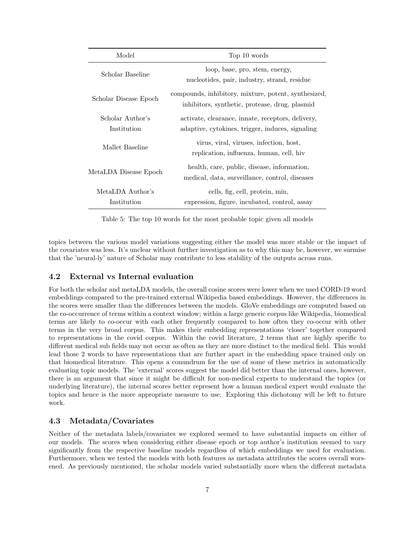| Model                           | Top 10 words                                                                                           |
|---------------------------------|--------------------------------------------------------------------------------------------------------|
| Scholar Baseline                | loop, base, pro, stem, energy,<br>nucleotides, pair, industry, strand, residue                         |
| Scholar Disease Epoch           | compounds, inhibitory, mixture, potent, synthesized,<br>inhibitors, synthetic, protease, drug, plasmid |
| Scholar Author's<br>Institution | activate, clearance, innate, receptors, delivery,<br>adaptive, cytokines, trigger, induces, signaling  |
| Mallet Baseline                 | virus, viral, viruses, infection, host,<br>replication, influenza, human, cell, hiv                    |
| MetaLDA Disease Epoch           | health, care, public, disease, information,<br>medical, data, surveillance, control, diseases          |
| MetaLDA Author's<br>Institution | cells, fig, cell, protein, min,<br>expression, figure, incubated, control, assay                       |

Table 5: The top 10 words for the most probable topic given all models

topics between the various model variations suggesting either the model was more stable or the impact of the covariates was less. It's unclear without further investigation as to why this may be, however, we surmise that the 'neural-ly' nature of Scholar may contribute to less stability of the outputs across runs.

### 4.2 External vs Internal evaluation

For both the scholar and metaLDA models, the overall cosine scores were lower when we used CORD-19 word embeddings compared to the pre-trained external Wikipedia based embeddings. However, the differences in the scores were smaller than the differences between the models. GloVe embeddings are computed based on the co-occurrence of terms within a context window; within a large generic corpus like Wikipedia, biomedical terms are likely to co-occur with each other frequently compared to how often they co-occur with other terms in the very broad corpus. This makes their embedding representations 'closer' together compared to representations in the covid corpus. Within the covid literature, 2 terms that are highly specific to different medical sub fields may not occur as often as they are more distinct to the medical field. This would lead those 2 words to have representations that are further apart in the embedding space trained only on that biomedical literature. This opens a conundrum for the use of some of these metrics in automatically evaluating topic models. The 'external' scores suggest the model did better than the internal ones, however, there is an argument that since it might be difficult for non-medical experts to understand the topics (or underlying literature), the internal scores better represent how a human medical expert would evaluate the topics and hence is the more appropriate measure to use. Exploring this dichotomy will be left to future work.

### 4.3 Metadata/Covariates

Neither of the metadata labels/covariates we explored seemed to have substantial impacts on either of our models. The scores when considering either disease epoch or top author's institution seemed to vary significantly from the respective baseline models regardless of which embeddings we used for evaluation. Furthermore, when we tested the models with both features as metadata attributes the scores overall worsened. As previously mentioned, the scholar models varied substantially more when the different metadata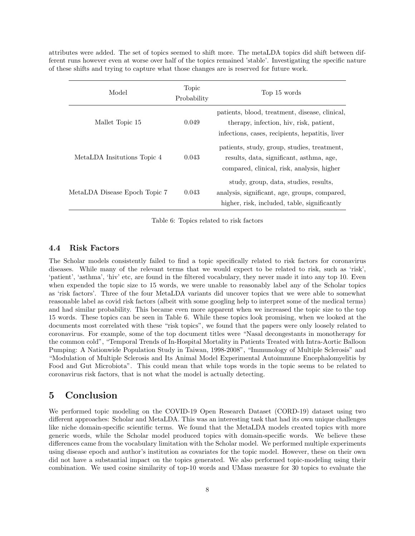attributes were added. The set of topics seemed to shift more. The metaLDA topics did shift between different runs however even at worse over half of the topics remained 'stable'. Investigating the specific nature of these shifts and trying to capture what those changes are is reserved for future work.

| Model                         | Topic<br>Probability | Top 15 words                                                                                                                                 |
|-------------------------------|----------------------|----------------------------------------------------------------------------------------------------------------------------------------------|
| Mallet Topic 15               | 0.049                | patients, blood, treatment, disease, clinical,<br>therapy, infection, hiv, risk, patient,<br>infections, cases, recipients, hepatitis, liver |
| MetaLDA Insitutions Topic 4   | 0.043                | patients, study, group, studies, treatment,<br>results, data, significant, asthma, age,<br>compared, clinical, risk, analysis, higher        |
| MetaLDA Disease Epoch Topic 7 | 0.043                | study, group, data, studies, results,<br>analysis, significant, age, groups, compared,<br>higher, risk, included, table, significantly       |

Table 6: Topics related to risk factors

### 4.4 Risk Factors

The Scholar models consistently failed to find a topic specifically related to risk factors for coronavirus diseases. While many of the relevant terms that we would expect to be related to risk, such as 'risk', 'patient', 'asthma', 'hiv' etc, are found in the filtered vocabulary, they never made it into any top 10. Even when expended the topic size to 15 words, we were unable to reasonably label any of the Scholar topics as 'risk factors'. Three of the four MetaLDA variants did uncover topics that we were able to somewhat reasonable label as covid risk factors (albeit with some googling help to interpret some of the medical terms) and had similar probability. This became even more apparent when we increased the topic size to the top 15 words. These topics can be seen in Table 6. While these topics look promising, when we looked at the documents most correlated with these "risk topics", we found that the papers were only loosely related to coronavirus. For example, some of the top document titles were "Nasal decongestants in monotherapy for the common cold", "Temporal Trends of In-Hospital Mortality in Patients Treated with Intra-Aortic Balloon Pumping: A Nationwide Population Study in Taiwan, 1998-2008", "Immunology of Multiple Sclerosis" and "Modulation of Multiple Sclerosis and Its Animal Model Experimental Autoimmune Encephalomyelitis by Food and Gut Microbiota". This could mean that while tops words in the topic seems to be related to coronavirus risk factors, that is not what the model is actually detecting.

### 5 Conclusion

We performed topic modeling on the COVID-19 Open Research Dataset (CORD-19) dataset using two different approaches: Scholar and MetaLDA. This was an interesting task that had its own unique challenges like niche domain-specific scientific terms. We found that the MetaLDA models created topics with more generic words, while the Scholar model produced topics with domain-specific words. We believe these differences came from the vocabulary limitation with the Scholar model. We performed multiple experiments using disease epoch and author's institution as covariates for the topic model. However, these on their own did not have a substantial impact on the topics generated. We also performed topic-modeling using their combination. We used cosine similarity of top-10 words and UMass measure for 30 topics to evaluate the